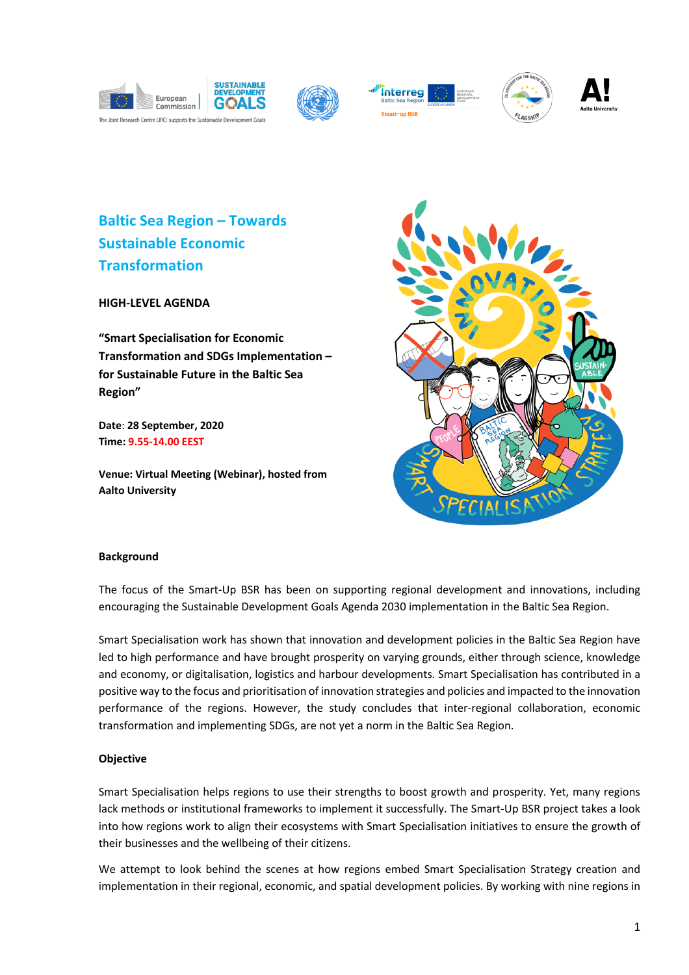









**Baltic Sea Region – Towards Sustainable Economic Transformation** 

**HIGH-LEVEL AGENDA**

**"Smart Specialisation for Economic Transformation and SDGs Implementation – for Sustainable Future in the Baltic Sea Region"** 

**Date**: **28 September, 2020 Time: 9.55-14.00 EEST**

**Venue: Virtual Meeting (Webinar), hosted from Aalto University**



### **Background**

The focus of the Smart-Up BSR has been on supporting regional development and innovations, including encouraging the Sustainable Development Goals Agenda 2030 implementation in the Baltic Sea Region.

Smart Specialisation work has shown that innovation and development policies in the Baltic Sea Region have led to high performance and have brought prosperity on varying grounds, either through science, knowledge and economy, or digitalisation, logistics and harbour developments. Smart Specialisation has contributed in a positive way to the focus and prioritisation of innovation strategies and policies and impacted to the innovation performance of the regions. However, the study concludes that inter-regional collaboration, economic transformation and implementing SDGs, are not yet a norm in the Baltic Sea Region.

# **Objective**

Smart Specialisation helps regions to use their strengths to boost growth and prosperity. Yet, many regions lack methods or institutional frameworks to implement it successfully. The Smart-Up BSR project takes a look into how regions work to align their ecosystems with Smart Specialisation initiatives to ensure the growth of their businesses and the wellbeing of their citizens.

We attempt to look behind the scenes at how regions embed Smart Specialisation Strategy creation and implementation in their regional, economic, and spatial development policies. By working with nine regions in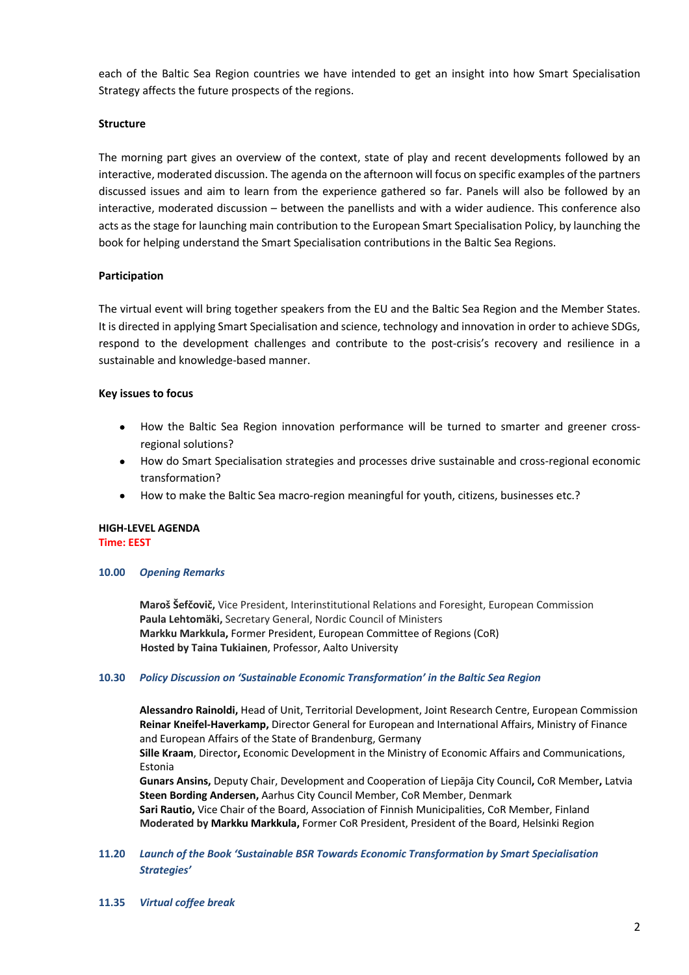each of the Baltic Sea Region countries we have intended to get an insight into how Smart Specialisation Strategy affects the future prospects of the regions.

# **Structure**

The morning part gives an overview of the context, state of play and recent developments followed by an interactive, moderated discussion. The agenda on the afternoon will focus on specific examples of the partners discussed issues and aim to learn from the experience gathered so far. Panels will also be followed by an interactive, moderated discussion – between the panellists and with a wider audience. This conference also acts as the stage for launching main contribution to the European Smart Specialisation Policy, by launching the book for helping understand the Smart Specialisation contributions in the Baltic Sea Regions.

# **Participation**

The virtual event will bring together speakers from the EU and the Baltic Sea Region and the Member States. It is directed in applying Smart Specialisation and science, technology and innovation in order to achieve SDGs, respond to the development challenges and contribute to the post-crisis's recovery and resilience in a sustainable and knowledge-based manner.

# **Key issues to focus**

- How the Baltic Sea Region innovation performance will be turned to smarter and greener crossregional solutions?
- How do Smart Specialisation strategies and processes drive sustainable and cross-regional economic transformation?
- How to make the Baltic Sea macro-region meaningful for youth, citizens, businesses etc.?

## **HIGH-LEVEL AGENDA Time: EEST**

### **10.00** *Opening Remarks*

**Maroš Šefčovič,** Vice President, Interinstitutional Relations and Foresight, European Commission **Paula Lehtomäki,** Secretary General, Nordic Council of Ministers **Markku Markkula,** Former President, European Committee of Regions (CoR) **Hosted by Taina Tukiainen**, Professor, Aalto University

### **10.30** *Policy Discussion on 'Sustainable Economic Transformation' in the Baltic Sea Region*

**Alessandro Rainoldi,** Head of Unit, Territorial Development, Joint Research Centre, European Commission **Reinar Kneifel-Haverkamp,** Director General for European and International Affairs, Ministry of Finance and European Affairs of the State of Brandenburg, Germany

**Sille Kraam**, Director**,** Economic Development in the Ministry of Economic Affairs and Communications, Estonia

**Gunars Ansins,** Deputy Chair, Development and Cooperation of Liepāja City Council**,** CoR Member**,** Latvia **Steen Bording Andersen,** Aarhus City Council Member, CoR Member, Denmark **Sari Rautio,** Vice Chair of the Board, Association of Finnish Municipalities, CoR Member, Finland

- **Moderated by Markku Markkula,** Former CoR President, President of the Board, Helsinki Region
- **11.20** *Launch of the Book 'Sustainable BSR Towards Economic Transformation by Smart Specialisation Strategies'*
- **11.35** *Virtual coffee break*